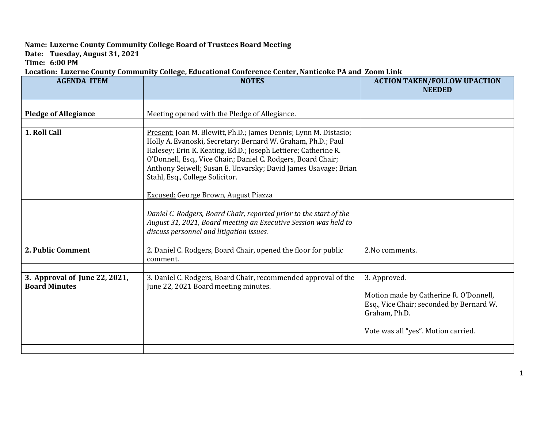## **Name: Luzerne County Community College Board of Trustees Board Meeting**

**Date: Tuesday, August 31, 2021**

**Time: 6:00 PM**

## **Location: Luzerne County Community College, Educational Conference Center, Nanticoke PA and Zoom Link**

| <b>AGENDA ITEM</b>                                    | <b>NOTES</b>                                                                                                                                                                                                                                                                                                                                                             | <b>ACTION TAKEN/FOLLOW UPACTION</b><br><b>NEEDED</b>                                                                                                       |
|-------------------------------------------------------|--------------------------------------------------------------------------------------------------------------------------------------------------------------------------------------------------------------------------------------------------------------------------------------------------------------------------------------------------------------------------|------------------------------------------------------------------------------------------------------------------------------------------------------------|
|                                                       |                                                                                                                                                                                                                                                                                                                                                                          |                                                                                                                                                            |
| <b>Pledge of Allegiance</b>                           | Meeting opened with the Pledge of Allegiance.                                                                                                                                                                                                                                                                                                                            |                                                                                                                                                            |
|                                                       |                                                                                                                                                                                                                                                                                                                                                                          |                                                                                                                                                            |
| 1. Roll Call                                          | Present: Joan M. Blewitt, Ph.D.; James Dennis; Lynn M. Distasio;<br>Holly A. Evanoski, Secretary; Bernard W. Graham, Ph.D.; Paul<br>Halesey; Erin K. Keating, Ed.D.; Joseph Lettiere; Catherine R.<br>O'Donnell, Esq., Vice Chair.; Daniel C. Rodgers, Board Chair;<br>Anthony Seiwell; Susan E. Unvarsky; David James Usavage; Brian<br>Stahl, Esq., College Solicitor. |                                                                                                                                                            |
|                                                       | Excused: George Brown, August Piazza                                                                                                                                                                                                                                                                                                                                     |                                                                                                                                                            |
|                                                       | Daniel C. Rodgers, Board Chair, reported prior to the start of the<br>August 31, 2021, Board meeting an Executive Session was held to<br>discuss personnel and litigation issues.                                                                                                                                                                                        |                                                                                                                                                            |
| 2. Public Comment                                     | 2. Daniel C. Rodgers, Board Chair, opened the floor for public<br>comment.                                                                                                                                                                                                                                                                                               | 2. No comments.                                                                                                                                            |
|                                                       |                                                                                                                                                                                                                                                                                                                                                                          |                                                                                                                                                            |
| 3. Approval of June 22, 2021,<br><b>Board Minutes</b> | 3. Daniel C. Rodgers, Board Chair, recommended approval of the<br>June 22, 2021 Board meeting minutes.                                                                                                                                                                                                                                                                   | 3. Approved.<br>Motion made by Catherine R. O'Donnell,<br>Esq., Vice Chair; seconded by Bernard W.<br>Graham, Ph.D.<br>Vote was all "yes". Motion carried. |
|                                                       |                                                                                                                                                                                                                                                                                                                                                                          |                                                                                                                                                            |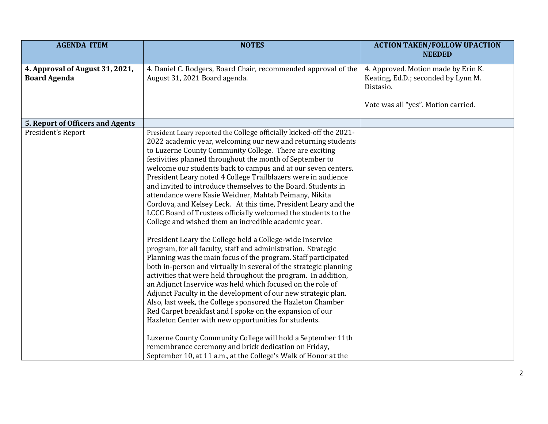| <b>AGENDA ITEM</b>                                     | <b>NOTES</b>                                                                                                                                                                                                                                                                                                                                                                                                                                                                                                                                                                                                                                                                                                                                                                                                                                                                                                                                                                                                                                                                                                                                                                                                                                                                                                                                                                                                                                                                                                                                                            | <b>ACTION TAKEN/FOLLOW UPACTION</b>                                                     |
|--------------------------------------------------------|-------------------------------------------------------------------------------------------------------------------------------------------------------------------------------------------------------------------------------------------------------------------------------------------------------------------------------------------------------------------------------------------------------------------------------------------------------------------------------------------------------------------------------------------------------------------------------------------------------------------------------------------------------------------------------------------------------------------------------------------------------------------------------------------------------------------------------------------------------------------------------------------------------------------------------------------------------------------------------------------------------------------------------------------------------------------------------------------------------------------------------------------------------------------------------------------------------------------------------------------------------------------------------------------------------------------------------------------------------------------------------------------------------------------------------------------------------------------------------------------------------------------------------------------------------------------------|-----------------------------------------------------------------------------------------|
|                                                        |                                                                                                                                                                                                                                                                                                                                                                                                                                                                                                                                                                                                                                                                                                                                                                                                                                                                                                                                                                                                                                                                                                                                                                                                                                                                                                                                                                                                                                                                                                                                                                         | <b>NEEDED</b>                                                                           |
| 4. Approval of August 31, 2021,<br><b>Board Agenda</b> | 4. Daniel C. Rodgers, Board Chair, recommended approval of the<br>August 31, 2021 Board agenda.                                                                                                                                                                                                                                                                                                                                                                                                                                                                                                                                                                                                                                                                                                                                                                                                                                                                                                                                                                                                                                                                                                                                                                                                                                                                                                                                                                                                                                                                         | 4. Approved. Motion made by Erin K.<br>Keating, Ed.D.; seconded by Lynn M.<br>Distasio. |
|                                                        |                                                                                                                                                                                                                                                                                                                                                                                                                                                                                                                                                                                                                                                                                                                                                                                                                                                                                                                                                                                                                                                                                                                                                                                                                                                                                                                                                                                                                                                                                                                                                                         | Vote was all "yes". Motion carried.                                                     |
|                                                        |                                                                                                                                                                                                                                                                                                                                                                                                                                                                                                                                                                                                                                                                                                                                                                                                                                                                                                                                                                                                                                                                                                                                                                                                                                                                                                                                                                                                                                                                                                                                                                         |                                                                                         |
| 5. Report of Officers and Agents                       |                                                                                                                                                                                                                                                                                                                                                                                                                                                                                                                                                                                                                                                                                                                                                                                                                                                                                                                                                                                                                                                                                                                                                                                                                                                                                                                                                                                                                                                                                                                                                                         |                                                                                         |
| President's Report                                     | President Leary reported the College officially kicked-off the 2021-<br>2022 academic year, welcoming our new and returning students<br>to Luzerne County Community College. There are exciting<br>festivities planned throughout the month of September to<br>welcome our students back to campus and at our seven centers.<br>President Leary noted 4 College Trailblazers were in audience<br>and invited to introduce themselves to the Board. Students in<br>attendance were Kasie Weidner, Mahtab Peimany, Nikita<br>Cordova, and Kelsey Leck. At this time, President Leary and the<br>LCCC Board of Trustees officially welcomed the students to the<br>College and wished them an incredible academic year.<br>President Leary the College held a College-wide Inservice<br>program, for all faculty, staff and administration. Strategic<br>Planning was the main focus of the program. Staff participated<br>both in-person and virtually in several of the strategic planning<br>activities that were held throughout the program. In addition,<br>an Adjunct Inservice was held which focused on the role of<br>Adjunct Faculty in the development of our new strategic plan.<br>Also, last week, the College sponsored the Hazleton Chamber<br>Red Carpet breakfast and I spoke on the expansion of our<br>Hazleton Center with new opportunities for students.<br>Luzerne County Community College will hold a September 11th<br>remembrance ceremony and brick dedication on Friday,<br>September 10, at 11 a.m., at the College's Walk of Honor at the |                                                                                         |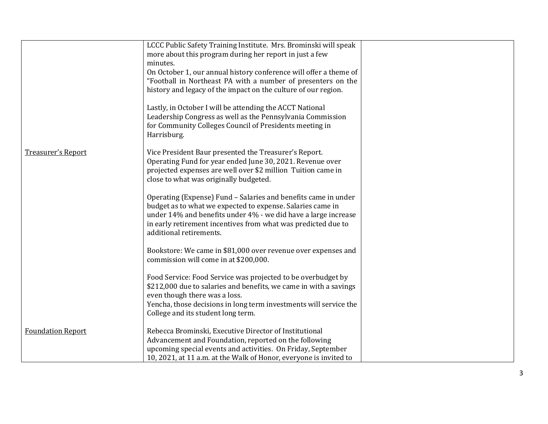|                          | LCCC Public Safety Training Institute. Mrs. Brominski will speak                         |  |
|--------------------------|------------------------------------------------------------------------------------------|--|
|                          | more about this program during her report in just a few<br>minutes.                      |  |
|                          | On October 1, our annual history conference will offer a theme of                        |  |
|                          | "Football in Northeast PA with a number of presenters on the                             |  |
|                          | history and legacy of the impact on the culture of our region.                           |  |
|                          | Lastly, in October I will be attending the ACCT National                                 |  |
|                          | Leadership Congress as well as the Pennsylvania Commission                               |  |
|                          | for Community Colleges Council of Presidents meeting in<br>Harrisburg.                   |  |
| Treasurer's Report       | Vice President Baur presented the Treasurer's Report.                                    |  |
|                          | Operating Fund for year ended June 30, 2021. Revenue over                                |  |
|                          | projected expenses are well over \$2 million Tuition came in                             |  |
|                          | close to what was originally budgeted.                                                   |  |
|                          | Operating (Expense) Fund - Salaries and benefits came in under                           |  |
|                          | budget as to what we expected to expense. Salaries came in                               |  |
|                          | under 14% and benefits under 4% - we did have a large increase                           |  |
|                          | in early retirement incentives from what was predicted due to<br>additional retirements. |  |
|                          |                                                                                          |  |
|                          | Bookstore: We came in \$81,000 over revenue over expenses and                            |  |
|                          | commission will come in at \$200,000.                                                    |  |
|                          | Food Service: Food Service was projected to be overbudget by                             |  |
|                          | \$212,000 due to salaries and benefits, we came in with a savings                        |  |
|                          | even though there was a loss.                                                            |  |
|                          | Yencha, those decisions in long term investments will service the                        |  |
|                          | College and its student long term.                                                       |  |
| <b>Foundation Report</b> | Rebecca Brominski, Executive Director of Institutional                                   |  |
|                          | Advancement and Foundation, reported on the following                                    |  |
|                          | upcoming special events and activities. On Friday, September                             |  |
|                          | 10, 2021, at 11 a.m. at the Walk of Honor, everyone is invited to                        |  |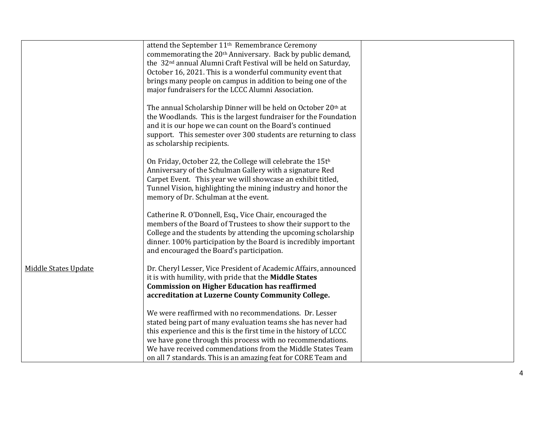|                      | attend the September 11 <sup>th</sup> Remembrance Ceremony<br>commemorating the 20 <sup>th</sup> Anniversary. Back by public demand,<br>the 32 <sup>nd</sup> annual Alumni Craft Festival will be held on Saturday,<br>October 16, 2021. This is a wonderful community event that                           |  |
|----------------------|-------------------------------------------------------------------------------------------------------------------------------------------------------------------------------------------------------------------------------------------------------------------------------------------------------------|--|
|                      | brings many people on campus in addition to being one of the<br>major fundraisers for the LCCC Alumni Association.                                                                                                                                                                                          |  |
|                      | The annual Scholarship Dinner will be held on October 20th at<br>the Woodlands. This is the largest fundraiser for the Foundation<br>and it is our hope we can count on the Board's continued<br>support. This semester over 300 students are returning to class<br>as scholarship recipients.              |  |
|                      | On Friday, October 22, the College will celebrate the 15th<br>Anniversary of the Schulman Gallery with a signature Red<br>Carpet Event. This year we will showcase an exhibit titled,<br>Tunnel Vision, highlighting the mining industry and honor the<br>memory of Dr. Schulman at the event.              |  |
|                      | Catherine R. O'Donnell, Esq., Vice Chair, encouraged the<br>members of the Board of Trustees to show their support to the<br>College and the students by attending the upcoming scholarship<br>dinner. 100% participation by the Board is incredibly important<br>and encouraged the Board's participation. |  |
| Middle States Update | Dr. Cheryl Lesser, Vice President of Academic Affairs, announced<br>it is with humility, with pride that the Middle States<br><b>Commission on Higher Education has reaffirmed</b><br>accreditation at Luzerne County Community College.                                                                    |  |
|                      | We were reaffirmed with no recommendations. Dr. Lesser<br>stated being part of many evaluation teams she has never had                                                                                                                                                                                      |  |
|                      | this experience and this is the first time in the history of LCCC                                                                                                                                                                                                                                           |  |
|                      | we have gone through this process with no recommendations.                                                                                                                                                                                                                                                  |  |
|                      | We have received commendations from the Middle States Team                                                                                                                                                                                                                                                  |  |
|                      | on all 7 standards. This is an amazing feat for CORE Team and                                                                                                                                                                                                                                               |  |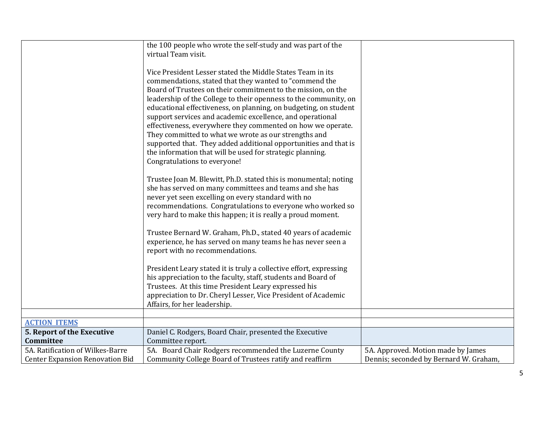|                                                   | the 100 people who wrote the self-study and was part of the<br>virtual Team visit.                                                                                                                                                                                                                                                                                                                                                                                                                                                                                                                                                                                               |                                        |
|---------------------------------------------------|----------------------------------------------------------------------------------------------------------------------------------------------------------------------------------------------------------------------------------------------------------------------------------------------------------------------------------------------------------------------------------------------------------------------------------------------------------------------------------------------------------------------------------------------------------------------------------------------------------------------------------------------------------------------------------|----------------------------------------|
|                                                   | Vice President Lesser stated the Middle States Team in its<br>commendations, stated that they wanted to "commend the<br>Board of Trustees on their commitment to the mission, on the<br>leadership of the College to their openness to the community, on<br>educational effectiveness, on planning, on budgeting, on student<br>support services and academic excellence, and operational<br>effectiveness, everywhere they commented on how we operate.<br>They committed to what we wrote as our strengths and<br>supported that. They added additional opportunities and that is<br>the information that will be used for strategic planning.<br>Congratulations to everyone! |                                        |
|                                                   | Trustee Joan M. Blewitt, Ph.D. stated this is monumental; noting<br>she has served on many committees and teams and she has<br>never yet seen excelling on every standard with no<br>recommendations. Congratulations to everyone who worked so<br>very hard to make this happen; it is really a proud moment.                                                                                                                                                                                                                                                                                                                                                                   |                                        |
|                                                   | Trustee Bernard W. Graham, Ph.D., stated 40 years of academic<br>experience, he has served on many teams he has never seen a<br>report with no recommendations.                                                                                                                                                                                                                                                                                                                                                                                                                                                                                                                  |                                        |
|                                                   | President Leary stated it is truly a collective effort, expressing<br>his appreciation to the faculty, staff, students and Board of<br>Trustees. At this time President Leary expressed his<br>appreciation to Dr. Cheryl Lesser, Vice President of Academic<br>Affairs, for her leadership.                                                                                                                                                                                                                                                                                                                                                                                     |                                        |
|                                                   |                                                                                                                                                                                                                                                                                                                                                                                                                                                                                                                                                                                                                                                                                  |                                        |
| <b>ACTION ITEMS</b><br>5. Report of the Executive | Daniel C. Rodgers, Board Chair, presented the Executive                                                                                                                                                                                                                                                                                                                                                                                                                                                                                                                                                                                                                          |                                        |
| Committee                                         | Committee report.                                                                                                                                                                                                                                                                                                                                                                                                                                                                                                                                                                                                                                                                |                                        |
| 5A. Ratification of Wilkes-Barre                  | 5A. Board Chair Rodgers recommended the Luzerne County                                                                                                                                                                                                                                                                                                                                                                                                                                                                                                                                                                                                                           | 5A. Approved. Motion made by James     |
| <b>Center Expansion Renovation Bid</b>            | Community College Board of Trustees ratify and reaffirm                                                                                                                                                                                                                                                                                                                                                                                                                                                                                                                                                                                                                          | Dennis; seconded by Bernard W. Graham, |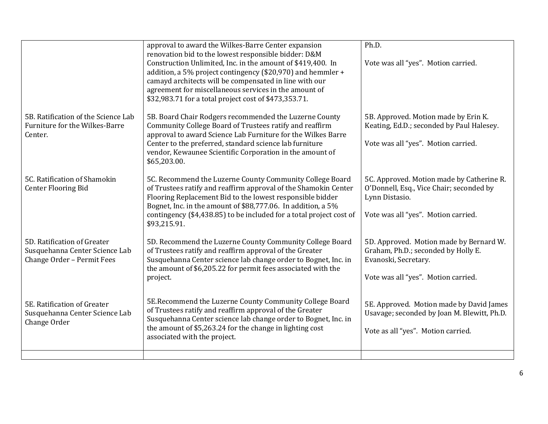|                                                                                             | approval to award the Wilkes-Barre Center expansion<br>renovation bid to the lowest responsible bidder: D&M<br>Construction Unlimited, Inc. in the amount of \$419,400. In<br>addition, a 5% project contingency (\$20,970) and hemmler +<br>camayd architects will be compensated in line with our<br>agreement for miscellaneous services in the amount of<br>\$32,983.71 for a total project cost of \$473,353.71. | Ph.D.<br>Vote was all "yes". Motion carried.                                                                                                   |
|---------------------------------------------------------------------------------------------|-----------------------------------------------------------------------------------------------------------------------------------------------------------------------------------------------------------------------------------------------------------------------------------------------------------------------------------------------------------------------------------------------------------------------|------------------------------------------------------------------------------------------------------------------------------------------------|
| 5B. Ratification of the Science Lab<br>Furniture for the Wilkes-Barre<br>Center.            | 5B. Board Chair Rodgers recommended the Luzerne County<br>Community College Board of Trustees ratify and reaffirm<br>approval to award Science Lab Furniture for the Wilkes Barre<br>Center to the preferred, standard science lab furniture<br>vendor, Kewaunee Scientific Corporation in the amount of<br>\$65,203.00.                                                                                              | 5B. Approved. Motion made by Erin K.<br>Keating, Ed.D.; seconded by Paul Halesey.<br>Vote was all "yes". Motion carried.                       |
| 5C. Ratification of Shamokin<br><b>Center Flooring Bid</b>                                  | 5C. Recommend the Luzerne County Community College Board<br>of Trustees ratify and reaffirm approval of the Shamokin Center<br>Flooring Replacement Bid to the lowest responsible bidder<br>Bognet, Inc. in the amount of \$88,777.06. In addition, a 5%<br>contingency (\$4,438.85) to be included for a total project cost of<br>\$93,215.91.                                                                       | 5C. Approved. Motion made by Catherine R.<br>O'Donnell, Esq., Vice Chair; seconded by<br>Lynn Distasio.<br>Vote was all "yes". Motion carried. |
| 5D. Ratification of Greater<br>Susquehanna Center Science Lab<br>Change Order - Permit Fees | 5D. Recommend the Luzerne County Community College Board<br>of Trustees ratify and reaffirm approval of the Greater<br>Susquehanna Center science lab change order to Bognet, Inc. in<br>the amount of \$6,205.22 for permit fees associated with the<br>project.                                                                                                                                                     | 5D. Approved. Motion made by Bernard W.<br>Graham, Ph.D.; seconded by Holly E.<br>Evanoski, Secretary.<br>Vote was all "yes". Motion carried.  |
| 5E. Ratification of Greater<br>Susquehanna Center Science Lab<br>Change Order               | 5E.Recommend the Luzerne County Community College Board<br>of Trustees ratify and reaffirm approval of the Greater<br>Susquehanna Center science lab change order to Bognet, Inc. in<br>the amount of \$5,263.24 for the change in lighting cost<br>associated with the project.                                                                                                                                      | 5E. Approved. Motion made by David James<br>Usavage; seconded by Joan M. Blewitt, Ph.D.<br>Vote as all "yes". Motion carried.                  |
|                                                                                             |                                                                                                                                                                                                                                                                                                                                                                                                                       |                                                                                                                                                |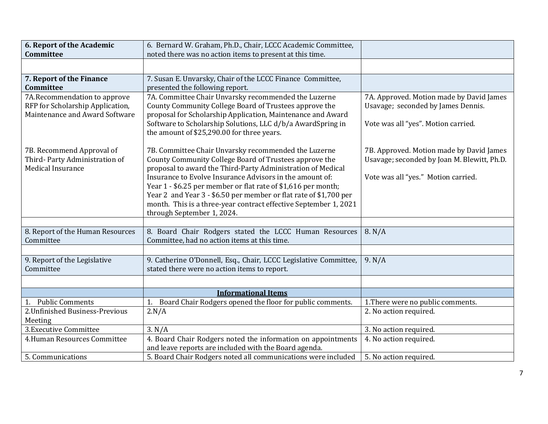| 6. Report of the Academic                                                                          | 6. Bernard W. Graham, Ph.D., Chair, LCCC Academic Committee,                                                                                                                                                                                                                                                                                                                                                                                                                      |                                                                                                                                |
|----------------------------------------------------------------------------------------------------|-----------------------------------------------------------------------------------------------------------------------------------------------------------------------------------------------------------------------------------------------------------------------------------------------------------------------------------------------------------------------------------------------------------------------------------------------------------------------------------|--------------------------------------------------------------------------------------------------------------------------------|
| <b>Committee</b>                                                                                   | noted there was no action items to present at this time.                                                                                                                                                                                                                                                                                                                                                                                                                          |                                                                                                                                |
|                                                                                                    |                                                                                                                                                                                                                                                                                                                                                                                                                                                                                   |                                                                                                                                |
| 7. Report of the Finance                                                                           | 7. Susan E. Unvarsky, Chair of the LCCC Finance Committee,                                                                                                                                                                                                                                                                                                                                                                                                                        |                                                                                                                                |
| <b>Committee</b>                                                                                   | presented the following report.                                                                                                                                                                                                                                                                                                                                                                                                                                                   |                                                                                                                                |
| 7A.Recommendation to approve<br>RFP for Scholarship Application,<br>Maintenance and Award Software | 7A. Committee Chair Unvarsky recommended the Luzerne<br>County Community College Board of Trustees approve the<br>proposal for Scholarship Application, Maintenance and Award<br>Software to Scholarship Solutions, LLC d/b/a AwardSpring in<br>the amount of \$25,290.00 for three years.                                                                                                                                                                                        | 7A. Approved. Motion made by David James<br>Usavage; seconded by James Dennis.<br>Vote was all "yes". Motion carried.          |
| 7B. Recommend Approval of<br>Third-Party Administration of<br><b>Medical Insurance</b>             | 7B. Committee Chair Unvarsky recommended the Luzerne<br>County Community College Board of Trustees approve the<br>proposal to award the Third-Party Administration of Medical<br>Insurance to Evolve Insurance Advisors in the amount of:<br>Year 1 - \$6.25 per member or flat rate of \$1,616 per month;<br>Year 2 and Year 3 - \$6.50 per member or flat rate of \$1,700 per<br>month. This is a three-year contract effective September 1, 2021<br>through September 1, 2024. | 7B. Approved. Motion made by David James<br>Usavage; seconded by Joan M. Blewitt, Ph.D.<br>Vote was all "yes." Motion carried. |
| 8. Report of the Human Resources<br>Committee                                                      | 8. Board Chair Rodgers stated the LCCC Human Resources<br>Committee, had no action items at this time.                                                                                                                                                                                                                                                                                                                                                                            | 8. N/A                                                                                                                         |
| 9. Report of the Legislative<br>Committee                                                          | 9. Catherine O'Donnell, Esq., Chair, LCCC Legislative Committee,<br>stated there were no action items to report.                                                                                                                                                                                                                                                                                                                                                                  | 9. N/A                                                                                                                         |
|                                                                                                    |                                                                                                                                                                                                                                                                                                                                                                                                                                                                                   |                                                                                                                                |
| 1. Public Comments                                                                                 | <b>Informational Items</b><br>Board Chair Rodgers opened the floor for public comments.<br>1.                                                                                                                                                                                                                                                                                                                                                                                     | 1. There were no public comments.                                                                                              |
| 2. Unfinished Business-Previous                                                                    | 2.N/A                                                                                                                                                                                                                                                                                                                                                                                                                                                                             | 2. No action required.                                                                                                         |
| Meeting                                                                                            |                                                                                                                                                                                                                                                                                                                                                                                                                                                                                   |                                                                                                                                |
| 3. Executive Committee                                                                             | 3. N/A                                                                                                                                                                                                                                                                                                                                                                                                                                                                            | 3. No action required.                                                                                                         |
| 4. Human Resources Committee                                                                       | 4. Board Chair Rodgers noted the information on appointments<br>and leave reports are included with the Board agenda.                                                                                                                                                                                                                                                                                                                                                             | 4. No action required.                                                                                                         |
| 5. Communications                                                                                  | 5. Board Chair Rodgers noted all communications were included                                                                                                                                                                                                                                                                                                                                                                                                                     | 5. No action required.                                                                                                         |